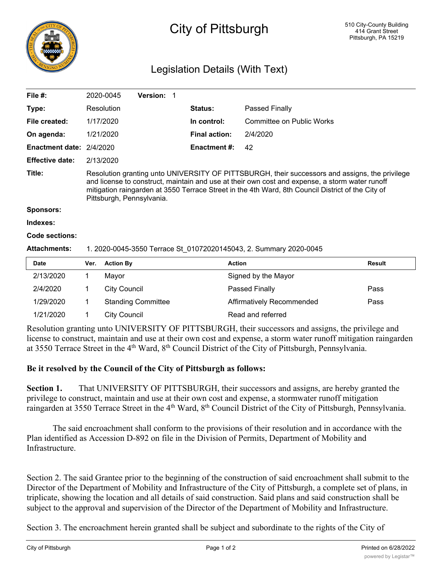

## City of Pittsburgh

## Legislation Details (With Text)

| File #:                |                                                                                                                                                                                                                                                                                                                                    | 2020-0045           | <b>Version: 1</b>         |  |                      |                           |               |
|------------------------|------------------------------------------------------------------------------------------------------------------------------------------------------------------------------------------------------------------------------------------------------------------------------------------------------------------------------------|---------------------|---------------------------|--|----------------------|---------------------------|---------------|
| Type:                  |                                                                                                                                                                                                                                                                                                                                    | Resolution          |                           |  | <b>Status:</b>       | Passed Finally            |               |
| File created:          |                                                                                                                                                                                                                                                                                                                                    | 1/17/2020           |                           |  | In control:          | Committee on Public Works |               |
| On agenda:             |                                                                                                                                                                                                                                                                                                                                    | 1/21/2020           |                           |  | <b>Final action:</b> | 2/4/2020                  |               |
| <b>Enactment date:</b> | 2/4/2020                                                                                                                                                                                                                                                                                                                           |                     |                           |  | <b>Enactment #:</b>  | 42                        |               |
| <b>Effective date:</b> |                                                                                                                                                                                                                                                                                                                                    | 2/13/2020           |                           |  |                      |                           |               |
| Title:                 | Resolution granting unto UNIVERSITY OF PITTSBURGH, their successors and assigns, the privilege<br>and license to construct, maintain and use at their own cost and expense, a storm water runoff<br>mitigation raingarden at 3550 Terrace Street in the 4th Ward, 8th Council District of the City of<br>Pittsburgh, Pennsylvania. |                     |                           |  |                      |                           |               |
| <b>Sponsors:</b>       |                                                                                                                                                                                                                                                                                                                                    |                     |                           |  |                      |                           |               |
| Indexes:               |                                                                                                                                                                                                                                                                                                                                    |                     |                           |  |                      |                           |               |
| Code sections:         |                                                                                                                                                                                                                                                                                                                                    |                     |                           |  |                      |                           |               |
| <b>Attachments:</b>    | 1. 2020-0045-3550 Terrace St 01072020145043, 2. Summary 2020-0045                                                                                                                                                                                                                                                                  |                     |                           |  |                      |                           |               |
| <b>Date</b>            | Ver.                                                                                                                                                                                                                                                                                                                               | <b>Action By</b>    |                           |  | <b>Action</b>        |                           | <b>Result</b> |
| 2/13/2020              | 1                                                                                                                                                                                                                                                                                                                                  | Mayor               |                           |  |                      | Signed by the Mayor       |               |
| 2/4/2020               | 1                                                                                                                                                                                                                                                                                                                                  | <b>City Council</b> |                           |  |                      | Passed Finally            | Pass          |
| 1/29/2020              | 1                                                                                                                                                                                                                                                                                                                                  |                     | <b>Standing Committee</b> |  |                      | Affirmatively Recommended | Pass          |

Resolution granting unto UNIVERSITY OF PITTSBURGH, their successors and assigns, the privilege and license to construct, maintain and use at their own cost and expense, a storm water runoff mitigation raingarden at 3550 Terrace Street in the 4<sup>th</sup> Ward, 8<sup>th</sup> Council District of the City of Pittsburgh, Pennsylvania.

## **Be it resolved by the Council of the City of Pittsburgh as follows:**

1/21/2020 1 City Council Read and referred

**Section 1.** That UNIVERSITY OF PITTSBURGH, their successors and assigns, are hereby granted the privilege to construct, maintain and use at their own cost and expense, a stormwater runoff mitigation raingarden at 3550 Terrace Street in the 4<sup>th</sup> Ward, 8<sup>th</sup> Council District of the City of Pittsburgh, Pennsylvania.

The said encroachment shall conform to the provisions of their resolution and in accordance with the Plan identified as Accession D-892 on file in the Division of Permits, Department of Mobility and Infrastructure.

Section 2. The said Grantee prior to the beginning of the construction of said encroachment shall submit to the Director of the Department of Mobility and Infrastructure of the City of Pittsburgh, a complete set of plans, in triplicate, showing the location and all details of said construction. Said plans and said construction shall be subject to the approval and supervision of the Director of the Department of Mobility and Infrastructure.

Section 3. The encroachment herein granted shall be subject and subordinate to the rights of the City of